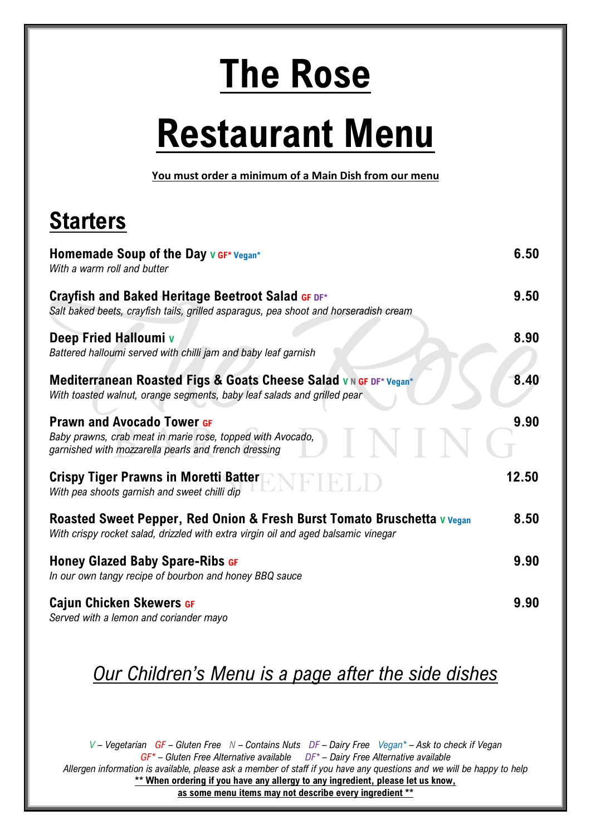# **The Rose**

# **Restaurant Menu**

**You must order a minimum of a Main Dish from our menu**

# **Starters**

| Homemade Soup of the Day $v$ GF* Vegan*<br>With a warm roll and butter                                                                                        | 6.50  |
|---------------------------------------------------------------------------------------------------------------------------------------------------------------|-------|
| Crayfish and Baked Heritage Beetroot Salad GF DF*<br>Salt baked beets, crayfish tails, grilled asparagus, pea shoot and horseradish cream                     | 9.50  |
| Deep Fried Halloumi v<br>Battered halloumi served with chilli jam and baby leaf garnish                                                                       | 8.90  |
| Mediterranean Roasted Figs & Goats Cheese Salad VN GF DF* Vegan*<br>With toasted walnut, orange segments, baby leaf salads and grilled pear                   | 8.40  |
| <b>Prawn and Avocado Tower GF</b><br>Baby prawns, crab meat in marie rose, topped with Avocado,<br>garnished with mozzarella pearls and french dressing       | 9.90  |
| <b>Crispy Tiger Prawns in Moretti Batter</b><br>With pea shoots garnish and sweet chilli dip                                                                  | 12.50 |
| Roasted Sweet Pepper, Red Onion & Fresh Burst Tomato Bruschetta v Vegan<br>With crispy rocket salad, drizzled with extra virgin oil and aged balsamic vinegar | 8.50  |
| <b>Honey Glazed Baby Spare-Ribs GF</b><br>In our own tangy recipe of bourbon and honey BBQ sauce                                                              | 9.90  |
| <b>Cajun Chicken Skewers GF</b><br>Served with a lemon and coriander mayo                                                                                     | 9.90  |

#### *Our Children's Menu is a page after the side dishes*

*V – Vegetarian GF – Gluten Free N – Contains Nuts DF – Dairy Free Vegan\* – Ask to check if Vegan GF\* – Gluten Free Alternative available DF\* – Dairy Free Alternative available Allergen information is available, please ask a member of staff if you have any questions and we will be happy to help* **\*\* When ordering if you have any allergy to any ingredient, please let us know, as some menu items may not describe every ingredient \*\***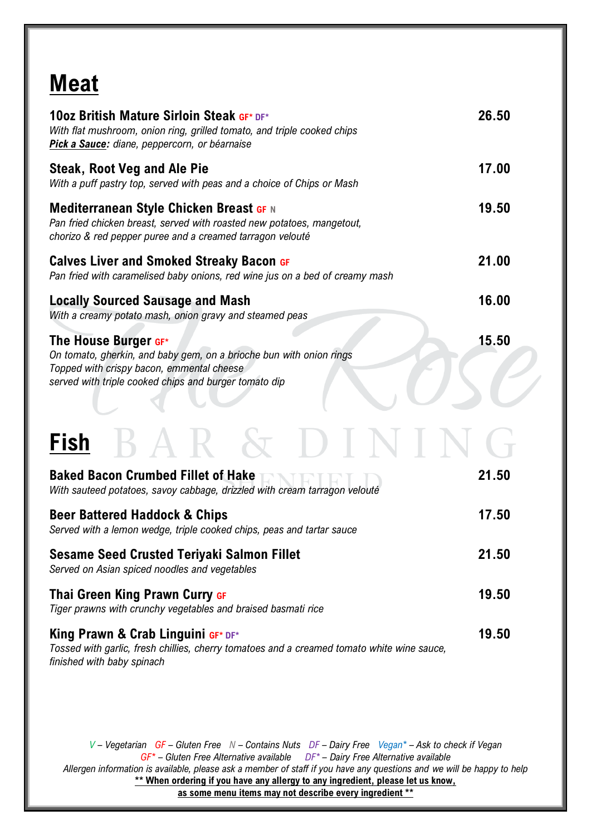## **Meat**

| 10oz British Mature Sirloin Steak GF* DF*<br>With flat mushroom, onion ring, grilled tomato, and triple cooked chips<br>Pick a Sauce: diane, peppercorn, or béarnaise                             | 26.50 |
|---------------------------------------------------------------------------------------------------------------------------------------------------------------------------------------------------|-------|
| <b>Steak, Root Veg and Ale Pie</b><br>With a puff pastry top, served with peas and a choice of Chips or Mash                                                                                      | 17.00 |
| <b>Mediterranean Style Chicken Breast GF N</b><br>Pan fried chicken breast, served with roasted new potatoes, mangetout,<br>chorizo & red pepper puree and a creamed tarragon velouté             | 19.50 |
| <b>Calves Liver and Smoked Streaky Bacon GF</b><br>Pan fried with caramelised baby onions, red wine jus on a bed of creamy mash                                                                   | 21.00 |
| <b>Locally Sourced Sausage and Mash</b><br>With a creamy potato mash, onion gravy and steamed peas                                                                                                | 16.00 |
| The House Burger GF*<br>On tomato, gherkin, and baby gem, on a brioche bun with onion rings<br>Topped with crispy bacon, emmental cheese<br>served with triple cooked chips and burger tomato dip | 15.50 |
| Fish                                                                                                                                                                                              |       |
| <b>Baked Bacon Crumbed Fillet of Hake</b><br>With sauteed potatoes, savoy cabbage, drizzled with cream tarragon velouté                                                                           | 21.50 |
| <b>Beer Battered Haddock &amp; Chips</b><br>Served with a lemon wedge, triple cooked chips, peas and tartar sauce                                                                                 | 17.50 |
| <b>Sesame Seed Crusted Teriyaki Salmon Fillet</b><br>Served on Asian spiced noodles and vegetables                                                                                                | 21.50 |
| Thai Green King Prawn Curry GF<br>Tiger prawns with crunchy vegetables and braised basmati rice                                                                                                   | 19.50 |
| King Prawn & Crab Linguini GF* DF*                                                                                                                                                                | 19.50 |

*Tossed with garlic, fresh chillies, cherry tomatoes and a creamed tomato white wine sauce, finished with baby spinach* 

*V – Vegetarian GF – Gluten Free N – Contains Nuts DF – Dairy Free Vegan\* – Ask to check if Vegan GF\* – Gluten Free Alternative available DF\* – Dairy Free Alternative available Allergen information is available, please ask a member of staff if you have any questions and we will be happy to help* **\*\* When ordering if you have any allergy to any ingredient, please let us know, as some menu items may not describe every ingredient \*\***